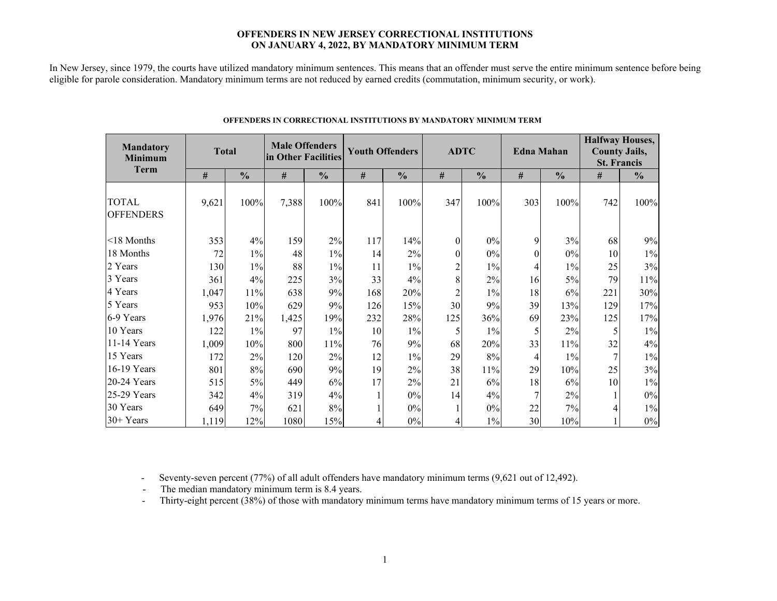#### **OFFENDERS IN NEW JERSEY CORRECTIONAL INSTITUTIONS ON JANUARY 4, 2022, BY MANDATORY MINIMUM TERM**

In New Jersey, since 1979, the courts have utilized mandatory minimum sentences. This means that an offender must serve the entire minimum sentence before being eligible for parole consideration. Mandatory minimum terms are not reduced by earned credits (commutation, minimum security, or work).

| <b>Mandatory</b><br><b>Minimum</b> | <b>Total</b> |               | <b>Male Offenders</b><br>in Other Facilities |               |      | <b>Youth Offenders</b> |          | <b>ADTC</b>   |          | <b>Edna Mahan</b> | <b>Halfway Houses,</b><br><b>County Jails,</b><br><b>St. Francis</b> |               |  |
|------------------------------------|--------------|---------------|----------------------------------------------|---------------|------|------------------------|----------|---------------|----------|-------------------|----------------------------------------------------------------------|---------------|--|
| <b>Term</b>                        | #            | $\frac{0}{0}$ | #                                            | $\frac{0}{0}$ | $\#$ | $\frac{0}{0}$          | #        | $\frac{0}{0}$ | #        | $\frac{0}{0}$     | #                                                                    | $\frac{0}{0}$ |  |
| <b>TOTAL</b><br><b>OFFENDERS</b>   | 9,621        | 100%          | 7,388                                        | 100%          | 841  | 100%                   | 347      | 100%          | 303      | 100%              | 742                                                                  | 100%          |  |
| <18 Months                         | 353          | 4%            | 159                                          | 2%            | 117  | 14%                    | $\Omega$ | $0\%$         | 9        | 3%                | 68                                                                   | 9%            |  |
| 18 Months                          | 72           | $1\%$         | 48                                           | $1\%$         | 14   | $2\%$                  | 0        | $0\%$         | $\theta$ | 0%                | 10                                                                   | $1\%$         |  |
| 2 Years                            | 130          | $1\%$         | 88                                           | $1\%$         | 11   | $1\%$                  | 2        | $1\%$         | 4        | $1\%$             | 25                                                                   | 3%            |  |
| 3 Years                            | 361          | 4%            | 225                                          | 3%            | 33   | 4%                     | 8        | $2\%$         | 16       | 5%                | 79                                                                   | 11%           |  |
| 4 Years                            | 1,047        | 11%           | 638                                          | 9%            | 168  | 20%                    |          | $1\%$         | 18       | 6%                | 221                                                                  | 30%           |  |
| 5 Years                            | 953          | 10%           | 629                                          | 9%            | 126  | 15%                    | 30       | 9%            | 39       | 13%               | 129                                                                  | 17%           |  |
| 6-9 Years                          | 1,976        | 21%           | 1,425                                        | 19%           | 232  | 28%                    | 125      | 36%           | 69       | 23%               | 125                                                                  | 17%           |  |
| 10 Years                           | 122          | $1\%$         | 97                                           | $1\%$         | 10   | $1\%$                  |          | $1\%$         |          | 2%                | 5                                                                    | $1\%$         |  |
| 11-14 Years                        | 1,009        | 10%           | 800                                          | 11%           | 76   | 9%                     | 68       | 20%           | 33       | 11%               | 32                                                                   | 4%            |  |
| 15 Years                           | 172          | $2\%$         | 120                                          | 2%            | 12   | $1\%$                  | 29       | $8\%$         | 4        | $1\%$             | 7                                                                    | $1\%$         |  |
| 16-19 Years                        | 801          | 8%            | 690                                          | 9%            | 19   | $2\%$                  | 38       | 11%           | 29       | 10%               | 25                                                                   | 3%            |  |
| $20-24$ Years                      | 515          | 5%            | 449                                          | 6%            | 17   | 2%                     | 21       | 6%            | 18       | 6%                | 10                                                                   | $1\%$         |  |
| 25-29 Years                        | 342          | 4%            | 319                                          | 4%            |      | $0\%$                  | 14       | 4%            | 7        | $2\%$             |                                                                      | $0\%$         |  |
| 30 Years                           | 649          | 7%            | 621                                          | 8%            |      | $0\%$                  |          | $0\%$         | 22       | 7%                |                                                                      | $1\%$         |  |
| 30+ Years                          | 1,119        | 12%           | 1080                                         | 15%           |      | $0\%$                  |          | $1\%$         | 30       | 10%               |                                                                      | $0\%$         |  |

#### **OFFENDERS IN CORRECTIONAL INSTITUTIONS BY MANDATORY MINIMUM TERM**

 $\frac{1}{2}$  , and the contract of the contract of the contract of the contract of the contract of the contract of the contract of the contract of the contract of the contract of the contract of the contract of the contract

- Seventy-seven percent (77%) of all adult offenders have mandatory minimum terms (9,621 out of 12,492).

- The median mandatory minimum term is 8.4 years.

-Thirty-eight percent (38%) of those with mandatory minimum terms have mandatory minimum terms of 15 years or more.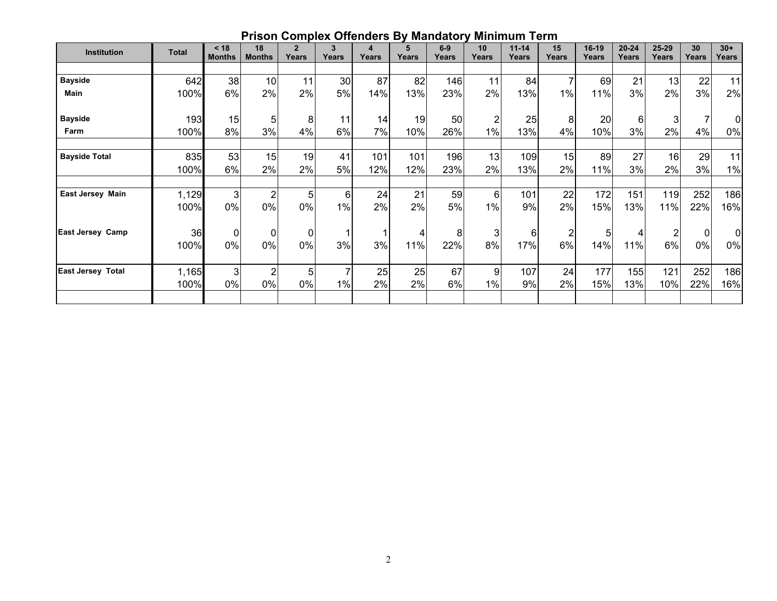|                          |              | $\leq 18$     | 18             | $\overline{2}$ | 3     | 4     | 5     | $6-9$ | 10    | $11 - 14$ | 15             | 16-19 | $20 - 24$ | 25-29 | 30    | $30+$          |
|--------------------------|--------------|---------------|----------------|----------------|-------|-------|-------|-------|-------|-----------|----------------|-------|-----------|-------|-------|----------------|
| <b>Institution</b>       | <b>Total</b> | <b>Months</b> | <b>Months</b>  | Years          | Years | Years | Years | Years | Years | Years     | Years          | Years | Years     | Years | Years | Years          |
|                          |              |               |                |                |       |       |       |       |       |           |                |       |           |       |       |                |
| <b>Bayside</b>           | 642          | 38            | 10             | 11             | 30    | 87    | 82    | 146   | 11    | 84        | $\overline{7}$ | 69    | 21        | 13    | 22    | 11             |
| Main                     | 100%         | 6%            | 2%             | 2%             | 5%    | 14%   | 13%   | 23%   | 2%    | 13%       | $1\%$          | 11%   | 3%        | 2%    | 3%    | 2%             |
| <b>Bayside</b>           | 193          | 15            | 5              | 8              | 11    | 14    | 19    | 50    | 2     | 25        | 8              | 20    | 6         | 3     |       | 0l             |
| Farm                     | 100%         | 8%            | 3%             | 4%             | 6%    | 7%    | 10%   | 26%   | 1%    | 13%       | 4%             | 10%   | 3%        | 2%    | 4%    | 0%             |
| <b>Bayside Total</b>     | 835          | 53            | 15             | 19             | 41    | 101   | 101   | 196   | 13    | 109       | 15             | 89    | 27        | 16    | 29    | 11             |
|                          | 100%         | 6%            | 2%             | 2%             | 5%    | 12%   | 12%   | 23%   | 2%    | 13%       | 2%             | 11%   | 3%        | 2%    | 3%    | $1\%$          |
|                          |              |               |                |                |       |       |       |       |       |           |                |       |           |       |       |                |
| <b>East Jersey Main</b>  | 1,129        | 3             | $\overline{2}$ | 5              | 6     | 24    | 21    | 59    | 6     | 101       | 22             | 172   | 151       | 119   | 252   | 186            |
|                          | 100%         | 0%            | 0%             | 0%             | 1%    | 2%    | 2%    | 5%    | 1%    | 9%        | 2%             | 15%   | 13%       | 11%   | 22%   | 16%            |
| East Jersey Camp         | 36           | 0             | $\Omega$       | 0              |       |       |       | 8     | 3     | 6         | $\overline{c}$ | 5     |           | 2     | 0     | $\overline{0}$ |
|                          | 100%         | 0%            | 0%             | 0%             | 3%    | 3%    | 11%   | 22%   | 8%    | 17%       | 6%             | 14%   | 11%       | 6%    | 0%    | 0%             |
| <b>East Jersey Total</b> | 1,165        | 3             | 2              | 5              |       | 25    | 25    | 67    | 9     | 107       | 24             | 177   | 155       | 121   | 252   | 186            |
|                          | 100%         | 0%            | 0%             | 0%             | 1%    | 2%    | 2%    | 6%    | 1%    | 9%        | 2%             | 15%   | 13%       | 10%   | 22%   | 16%            |
|                          |              |               |                |                |       |       |       |       |       |           |                |       |           |       |       |                |

## **Prison Complex Offenders By Mandatory Minimum Term**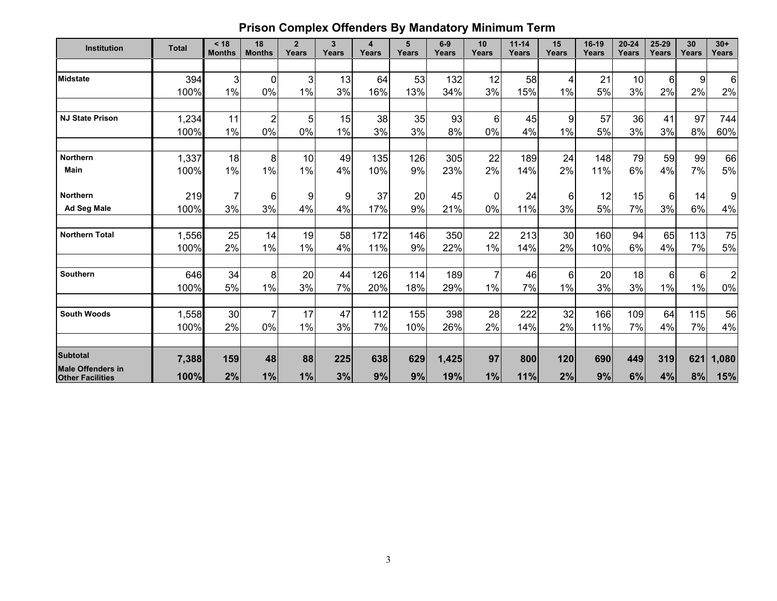# **Prison Complex Offenders By Mandatory Minimum Term**

| <b>Institution</b>                                  | <b>Total</b> | < 18<br><b>Months</b> | 18<br><b>Months</b> | $\overline{2}$<br>Years | $\overline{3}$<br>Years | 4<br>Years | 5<br>Years | $6-9$<br>Years | 10<br>Years | $11 - 14$<br>Years | 15<br>Years | 16-19<br>Years | $20 - 24$<br>Years | 25-29<br>Years | 30<br>Years | $30+$<br>Years |
|-----------------------------------------------------|--------------|-----------------------|---------------------|-------------------------|-------------------------|------------|------------|----------------|-------------|--------------------|-------------|----------------|--------------------|----------------|-------------|----------------|
|                                                     |              |                       |                     |                         |                         |            |            |                |             |                    |             |                |                    |                |             |                |
| <b>Midstate</b>                                     | 394          | 3                     | $\Omega$            | 3                       | 13                      | 64         | 53         | 132            | 12          | 58                 | 4           | 21             | 10                 | $6\phantom{a}$ | 9           | $6\phantom{a}$ |
|                                                     | 100%         | 1%                    | 0%                  | 1%                      | 3%                      | 16%        | 13%        | 34%            | 3%          | 15%                | 1%          | 5%             | 3%                 | 2%             | 2%          | 2%             |
|                                                     |              |                       |                     |                         |                         |            |            |                |             |                    |             |                |                    |                |             |                |
| <b>NJ State Prison</b>                              | 1,234        | 11                    | 2                   | 5                       | 15                      | 38         | 35         | 93             | 6           | 45                 | 9           | 57             | 36                 | 41             | 97          | 744            |
|                                                     | 100%         | 1%                    | 0%                  | 0%                      | 1%                      | 3%         | 3%         | 8%             | 0%          | 4%                 | 1%          | 5%             | 3%                 | 3%             | 8%          | 60%            |
| <b>Northern</b>                                     | 1,337        | 18                    | 8                   | 10                      | 49                      | 135        | 126        | 305            | 22          | 189                | 24          | 148            | 79                 | 59             | 99          | 66             |
| Main                                                | 100%         | 1%                    | 1%                  | 1%                      | 4%                      | 10%        | 9%         | 23%            | 2%          | 14%                | 2%          | 11%            | 6%                 | 4%             | 7%          | 5%             |
| <b>Northern</b>                                     | 219          |                       | 6                   | 9                       | 9                       | 37         | 20         | 45             | 0           | 24                 | 6           | 12             | 15                 | 6              | 14          | 9              |
| Ad Seg Male                                         | 100%         | 3%                    | 3%                  | 4%                      | 4%                      | 17%        | 9%         | 21%            | $0\%$       | 11%                | 3%          | 5%             | 7%                 | 3%             | 6%          | 4%             |
| <b>Northern Total</b>                               | 1,556        | 25                    | 14                  | 19                      | 58                      | 172        | 146        | 350            | 22          | 213                | 30          | 160            | 94                 | 65             | 113         | 75             |
|                                                     | 100%         | 2%                    | 1%                  | $1\%$                   | 4%                      | 11%        | 9%         | 22%            | 1%          | 14%                | 2%          | 10%            | 6%                 | 4%             | 7%          | 5%             |
| Southern                                            | 646          | 34                    | 8                   | 20                      | 44                      | 126        | 114        | 189            | 7           | 46                 | 6           | 20             | 18                 | $6\phantom{a}$ | 6           | $\overline{2}$ |
|                                                     | 100%         | 5%                    | 1%                  | 3%                      | 7%                      | 20%        | 18%        | 29%            | $1\%$       | 7%                 | 1%          | 3%             | 3%                 | 1%             | 1%          | $0\%$          |
|                                                     |              |                       |                     |                         |                         |            |            |                |             |                    |             |                |                    |                |             |                |
| <b>South Woods</b>                                  | 1,558        | 30                    |                     | 17                      | 47                      | 112        | 155        | 398            | 28          | 222                | 32          | 166            | 109                | 64             | 115         | 56             |
|                                                     | 100%         | 2%                    | 0%                  | 1%                      | 3%                      | 7%         | 10%        | 26%            | 2%          | 14%                | 2%          | 11%            | 7%                 | 4%             | 7%          | 4%             |
| <b>Subtotal</b>                                     | 7,388        | 159                   | 48                  | 88                      | 225                     | 638        | 629        | 1,425          | 97          | 800                | 120         | 690            | 449                | 319            | 621         | 1,080          |
| <b>Male Offenders in</b><br><b>Other Facilities</b> | 100%         | 2%                    | 1%                  | 1%                      | 3%                      | 9%         | 9%         | 19%            | 1%          | 11%                | 2%          | 9%             | 6%                 | 4%             | 8%          | 15%            |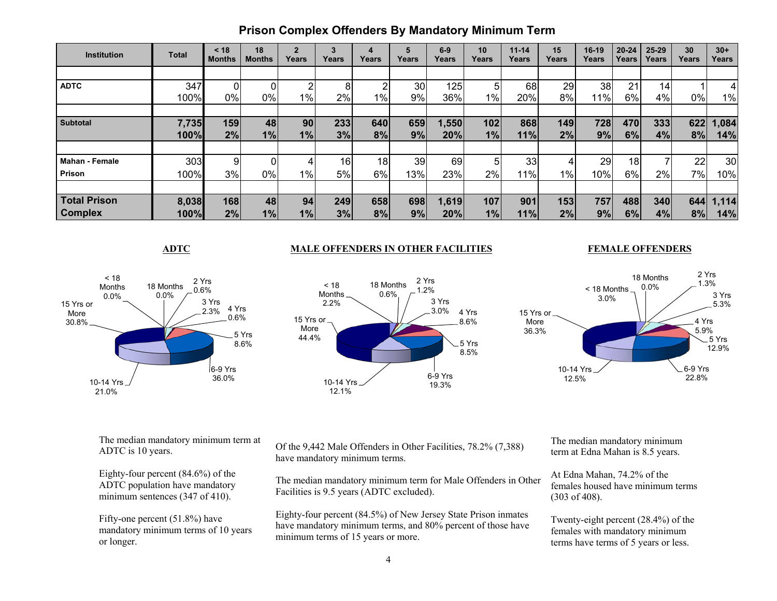| <b>Institution</b>    | <b>Total</b> | $<$ 18<br><b>Months</b> | 18<br><b>Months</b> | $\overline{2}$<br>Years | $\mathbf{3}$<br>Years | 4<br>Years | 5<br>Years | $6-9$<br>Years | 10<br>Years | $11 - 14$<br>Years | 15<br>Years | $16-19$<br>Years | $20 - 24$<br>Years | $25 - 29$<br>Years | 30<br>Years | $30+$<br>Years  |
|-----------------------|--------------|-------------------------|---------------------|-------------------------|-----------------------|------------|------------|----------------|-------------|--------------------|-------------|------------------|--------------------|--------------------|-------------|-----------------|
|                       |              |                         |                     |                         |                       |            |            |                |             |                    |             |                  |                    |                    |             |                 |
| <b>ADTC</b>           | 347          |                         |                     |                         | 8                     | n          | 30         | 125            | 5           | 68                 | 29          | 38               | 21                 | 14 <sub>1</sub>    |             | 4               |
|                       | 100%         | 0%                      | 0%                  | $1\%$                   | $2\%$                 | $1\%$      | 9%         | 36%            | $1\%$       | 20%                | 8%          | 11%              | 6%                 | 4%                 | $0\%$       | 1%              |
|                       |              |                         |                     |                         |                       |            |            |                |             |                    |             |                  |                    |                    |             |                 |
| <b>Subtotal</b>       | 7,735        | 159                     | 48                  | 90                      | 233                   | 640        | 659        | 1,550          | 102         | 868                | 149         | 728              | 470                | 333                | 622         | 1,084           |
|                       | 100%         | 2%                      | 1%                  | 1%                      | 3%                    | 8%         | 9%         | 20%            | 1%          | 11%                | 2%          | 9%               | 6%                 | 4%                 | 8%          | 14%             |
|                       |              |                         |                     |                         |                       |            |            |                |             |                    |             |                  |                    |                    |             |                 |
| <b>Mahan - Female</b> | 303          |                         | ΩI                  |                         | 16                    | 18         | 39         | 69             | 5           | 33                 | 4           | 29               | 18                 |                    | 22          | 30 <sub>l</sub> |
| Prison                | 100%         | 3%                      | 0%                  | $1\%$                   | <b>5%</b>             | 6%         | 13%        | 23%            | 2%          | 11%                | $1\%$       | 10%              | 6%                 | 2%                 | 7%          | 10%             |
|                       |              |                         |                     |                         |                       |            |            |                |             |                    |             |                  |                    |                    |             |                 |
| <b>Total Prison</b>   | 8,038        | 168                     | 48                  | 94                      | 249                   | 658        | 698        | 1,619          | 107         | 901                | 153         | 757              | 488                | 340                | 644         | 1,114           |
| <b>Complex</b>        | 100%         | 2%                      | 1%                  | 1%                      | 3%                    | 8%         | 9%         | 20%            | 1%          | 11%                | 2%          | 9%               | 6%                 | 4%                 | 8%          | 14%             |

### **ADTC MALE OFFENDERS IN OTHER FACILITIES**

#### **FEMALE OFFENDERS**







The median mandatory minimum term at ADTC is 10 years.

Eighty-four percent (84.6%) of the ADTC population have mandatory minimum sentences (347 of 410).

Fifty-one percent (51.8%) have mandatory minimum terms of 10 years or longer.

Of the 9,442 Male Offenders in Other Facilities, 78.2% (7,388) have mandatory minimum terms.

The median mandatory minimum term for Male Offenders in Other Facilities is 9.5 years (ADTC excluded).

Eighty-four percent (84.5%) of New Jersey State Prison inmates have mandatory minimum terms, and 80% percent of those have minimum terms of 15 years or more.

The median mandatory minimum term at Edna Mahan is 8.5 years.

At Edna Mahan, 74.2% of the females housed have minimum terms (303 of 408).

Twenty-eight percent (28.4%) of the females with mandatory minimum terms have terms of 5 years or less.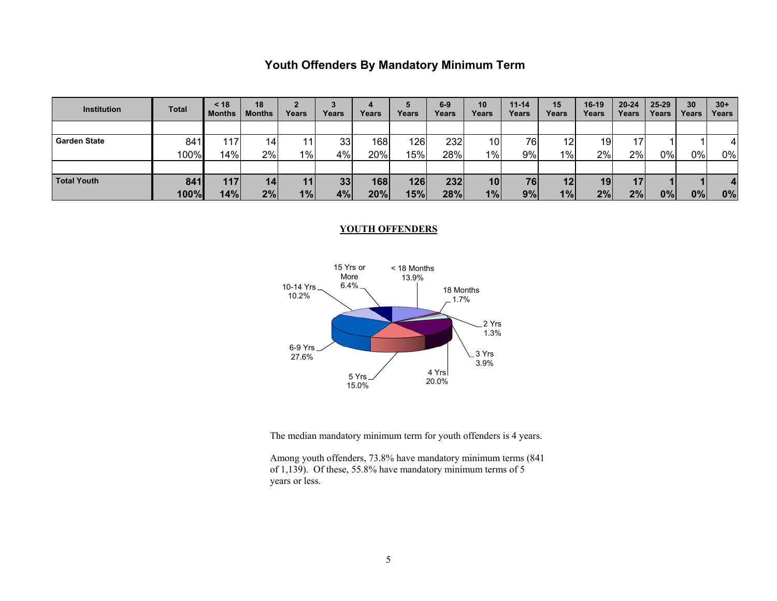## **Youth Offenders By Mandatory Minimum Term**

| <b>Institution</b>  | <b>Total</b> | < 18<br><b>Months</b> | 18<br><b>Months</b> | Years | Years           | Years | Years | $6-9$<br>Years | 10<br>Years | $11 - 14$<br>Years | 15<br>Years     | 16-19<br>Years | $20 - 24$<br>Years | $25 - 29$<br>Years | 30<br>Years | $30+$<br>Years |
|---------------------|--------------|-----------------------|---------------------|-------|-----------------|-------|-------|----------------|-------------|--------------------|-----------------|----------------|--------------------|--------------------|-------------|----------------|
|                     |              |                       |                     |       |                 |       |       |                |             |                    |                 |                |                    |                    |             |                |
| <b>Garden State</b> | 841          | 117                   | 14                  | 11    | 33 <sup>1</sup> | 168   | 126   | 232            | 10          | 76                 | 12              | 19             | 17                 |                    |             |                |
|                     | 100%         | 14%                   | 2%                  | 1%    | 4%              | 20%   | 15%।  | 28%            | $1\%$       | 9%                 | 1%              | 2%             | 2%                 | $0\%$              | $0\%$       | 0%             |
|                     |              |                       |                     |       |                 |       |       |                |             |                    |                 |                |                    |                    |             |                |
| <b>Total Youth</b>  | 841          | 117                   | 14                  | 11    | 33 <sub>1</sub> | 168   | 126   | 232            | 10          | 76                 | 12 <sub>l</sub> | 19             | 17                 |                    |             |                |
|                     | 100%         | 14%                   | 2%                  | 1%    | 4%              | 20%   | 15%   | 28%            | 1%          | 9%                 | 1%              | 2%             | 2%                 | 0%                 | 0%          | 0%             |

#### **YOUTH OFFENDERS**



The median mandatory minimum term for youth offenders is 4 years.

Among youth offenders, 73.8% have mandatory minimum terms (841 of 1,139). Of these, 55.8% have mandatory minimum terms of 5 years or less.